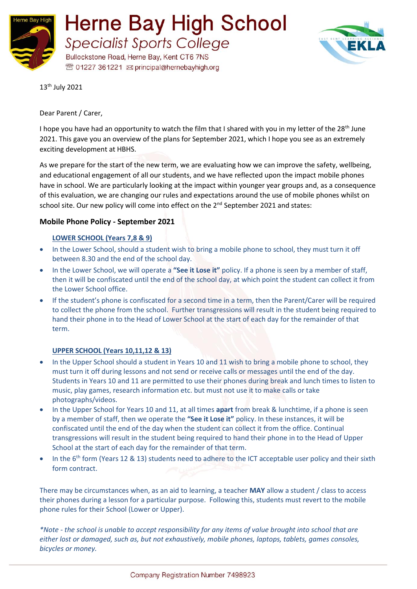



13th July 2021

Dear Parent / Carer,

I hope you have had an opportunity to watch the film that I shared with you in my letter of the 28<sup>th</sup> June 2021. This gave you an overview of the plans for September 2021, which I hope you see as an extremely exciting development at HBHS.

As we prepare for the start of the new term, we are evaluating how we can improve the safety, wellbeing, and educational engagement of all our students, and we have reflected upon the impact mobile phones have in school. We are particularly looking at the impact within younger year groups and, as a consequence of this evaluation, we are changing our rules and expectations around the use of mobile phones whilst on school site. Our new policy will come into effect on the 2<sup>nd</sup> September 2021 and states:

## **Mobile Phone Policy - September 2021**

## **LOWER SCHOOL (Years 7,8 & 9)**

- In the Lower School, should a student wish to bring a mobile phone to school, they must turn it off between 8.30 and the end of the school day.
- In the Lower School, we will operate a **"See it Lose it"** policy. If a phone is seen by a member of staff, then it will be confiscated until the end of the school day, at which point the student can collect it from the Lower School office.
- If the student's phone is confiscated for a second time in a term, then the Parent/Carer will be required to collect the phone from the school. Further transgressions will result in the student being required to hand their phone in to the Head of Lower School at the start of each day for the remainder of that term.

## **UPPER SCHOOL (Years 10,11,12 & 13)**

- In the Upper School should a student in Years 10 and 11 wish to bring a mobile phone to school, they must turn it off during lessons and not send or receive calls or messages until the end of the day. Students in Years 10 and 11 are permitted to use their phones during break and lunch times to listen to music, play games, research information etc. but must not use it to make calls or take photographs/videos.
- In the Upper School for Years 10 and 11, at all times **apart** from break & lunchtime, if a phone is seen by a member of staff, then we operate the **"See it Lose it"** policy. In these instances, it will be confiscated until the end of the day when the student can collect it from the office. Continual transgressions will result in the student being required to hand their phone in to the Head of Upper School at the start of each day for the remainder of that term.
- In the 6<sup>th</sup> form (Years 12 & 13) students need to adhere to the ICT acceptable user policy and their sixth form contract.

There may be circumstances when, as an aid to learning, a teacher **MAY** allow a student / class to access their phones during a lesson for a particular purpose. Following this, students must revert to the mobile phone rules for their School (Lower or Upper).

*\*Note - the school is unable to accept responsibility for any items of value brought into school that are either lost or damaged, such as, but not exhaustively, mobile phones, laptops, tablets, games consoles, bicycles or money.*